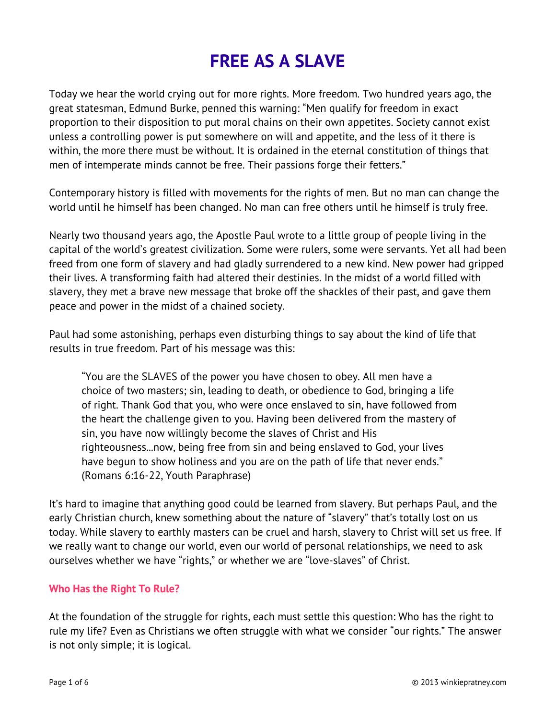# **FREE AS A SLAVE**

Today we hear the world crying out for more rights. More freedom. Two hundred years ago, the great statesman, Edmund Burke, penned this warning: "Men qualify for freedom in exact proportion to their disposition to put moral chains on their own appetites. Society cannot exist unless a controlling power is put somewhere on will and appetite, and the less of it there is within, the more there must be without. It is ordained in the eternal constitution of things that men of intemperate minds cannot be free. Their passions forge their fetters."

Contemporary history is filled with movements for the rights of men. But no man can change the world until he himself has been changed. No man can free others until he himself is truly free.

Nearly two thousand years ago, the Apostle Paul wrote to a little group of people living in the capital of the world's greatest civilization. Some were rulers, some were servants. Yet all had been freed from one form of slavery and had gladly surrendered to a new kind. New power had gripped their lives. A transforming faith had altered their destinies. In the midst of a world filled with slavery, they met a brave new message that broke off the shackles of their past, and gave them peace and power in the midst of a chained society.

Paul had some astonishing, perhaps even disturbing things to say about the kind of life that results in true freedom. Part of his message was this:

"You are the SLAVES of the power you have chosen to obey. All men have a choice of two masters; sin, leading to death, or obedience to God, bringing a life of right. Thank God that you, who were once enslaved to sin, have followed from the heart the challenge given to you. Having been delivered from the mastery of sin, you have now willingly become the slaves of Christ and His righteousness...now, being free from sin and being enslaved to God, your lives have begun to show holiness and you are on the path of life that never ends." (Romans 6:16-22, Youth Paraphrase)

It's hard to imagine that anything good could be learned from slavery. But perhaps Paul, and the early Christian church, knew something about the nature of "slavery" that's totally lost on us today. While slavery to earthly masters can be cruel and harsh, slavery to Christ will set us free. If we really want to change our world, even our world of personal relationships, we need to ask ourselves whether we have "rights," or whether we are "love-slaves" of Christ.

## **Who Has the Right To Rule?**

At the foundation of the struggle for rights, each must settle this question: Who has the right to rule my life? Even as Christians we often struggle with what we consider "our rights." The answer is not only simple; it is logical.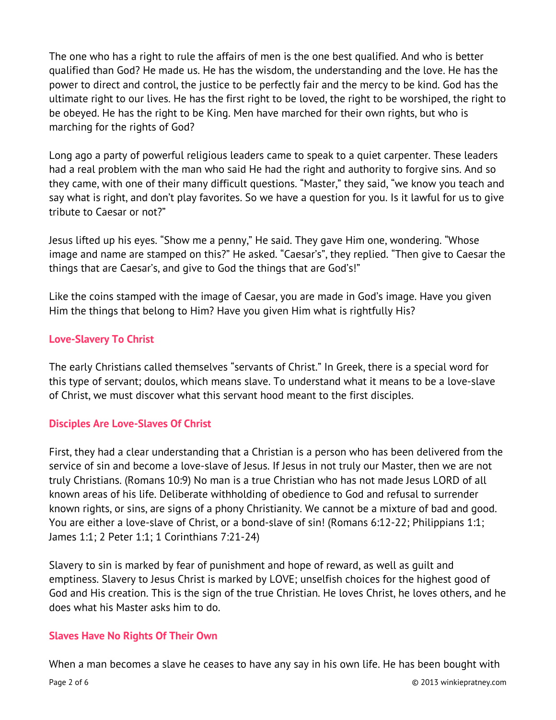The one who has a right to rule the affairs of men is the one best qualified. And who is better qualified than God? He made us. He has the wisdom, the understanding and the love. He has the power to direct and control, the justice to be perfectly fair and the mercy to be kind. God has the ultimate right to our lives. He has the first right to be loved, the right to be worshiped, the right to be obeyed. He has the right to be King. Men have marched for their own rights, but who is marching for the rights of God?

Long ago a party of powerful religious leaders came to speak to a quiet carpenter. These leaders had a real problem with the man who said He had the right and authority to forgive sins. And so they came, with one of their many difficult questions. "Master," they said, "we know you teach and say what is right, and don't play favorites. So we have a question for you. Is it lawful for us to give tribute to Caesar or not?"

Jesus lifted up his eyes. "Show me a penny," He said. They gave Him one, wondering. "Whose image and name are stamped on this?" He asked. "Caesar's", they replied. "Then give to Caesar the things that are Caesar's, and give to God the things that are God's!"

Like the coins stamped with the image of Caesar, you are made in God's image. Have you given Him the things that belong to Him? Have you given Him what is rightfully His?

## **Love-Slavery To Christ**

The early Christians called themselves "servants of Christ." In Greek, there is a special word for this type of servant; doulos, which means slave. To understand what it means to be a love-slave of Christ, we must discover what this servant hood meant to the first disciples.

## **Disciples Are Love-Slaves Of Christ**

First, they had a clear understanding that a Christian is a person who has been delivered from the service of sin and become a love-slave of Jesus. If Jesus in not truly our Master, then we are not truly Christians. (Romans 10:9) No man is a true Christian who has not made Jesus LORD of all known areas of his life. Deliberate withholding of obedience to God and refusal to surrender known rights, or sins, are signs of a phony Christianity. We cannot be a mixture of bad and good. You are either a love-slave of Christ, or a bond-slave of sin! (Romans 6:12-22; Philippians 1:1; James 1:1; 2 Peter 1:1; 1 Corinthians 7:21-24)

Slavery to sin is marked by fear of punishment and hope of reward, as well as guilt and emptiness. Slavery to Jesus Christ is marked by LOVE; unselfish choices for the highest good of God and His creation. This is the sign of the true Christian. He loves Christ, he loves others, and he does what his Master asks him to do.

#### **Slaves Have No Rights Of Their Own**

When a man becomes a slave he ceases to have any say in his own life. He has been bought with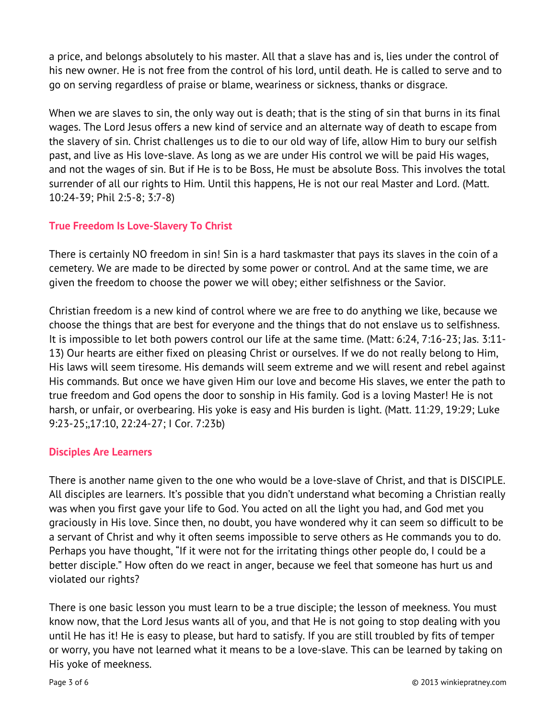a price, and belongs absolutely to his master. All that a slave has and is, lies under the control of his new owner. He is not free from the control of his lord, until death. He is called to serve and to go on serving regardless of praise or blame, weariness or sickness, thanks or disgrace.

When we are slaves to sin, the only way out is death; that is the sting of sin that burns in its final wages. The Lord Jesus offers a new kind of service and an alternate way of death to escape from the slavery of sin. Christ challenges us to die to our old way of life, allow Him to bury our selfish past, and live as His love-slave. As long as we are under His control we will be paid His wages, and not the wages of sin. But if He is to be Boss, He must be absolute Boss. This involves the total surrender of all our rights to Him. Until this happens, He is not our real Master and Lord. (Matt. 10:24-39; Phil 2:5-8; 3:7-8)

## **True Freedom Is Love-Slavery To Christ**

There is certainly NO freedom in sin! Sin is a hard taskmaster that pays its slaves in the coin of a cemetery. We are made to be directed by some power or control. And at the same time, we are given the freedom to choose the power we will obey; either selfishness or the Savior.

Christian freedom is a new kind of control where we are free to do anything we like, because we choose the things that are best for everyone and the things that do not enslave us to selfishness. It is impossible to let both powers control our life at the same time. (Matt: 6:24, 7:16-23; Jas. 3:11- 13) Our hearts are either fixed on pleasing Christ or ourselves. If we do not really belong to Him, His laws will seem tiresome. His demands will seem extreme and we will resent and rebel against His commands. But once we have given Him our love and become His slaves, we enter the path to true freedom and God opens the door to sonship in His family. God is a loving Master! He is not harsh, or unfair, or overbearing. His yoke is easy and His burden is light. (Matt. 11:29, 19:29; Luke 9:23-25;,17:10, 22:24-27; I Cor. 7:23b)

#### **Disciples Are Learners**

There is another name given to the one who would be a love-slave of Christ, and that is DISCIPLE. All disciples are learners. It's possible that you didn't understand what becoming a Christian really was when you first gave your life to God. You acted on all the light you had, and God met you graciously in His love. Since then, no doubt, you have wondered why it can seem so difficult to be a servant of Christ and why it often seems impossible to serve others as He commands you to do. Perhaps you have thought, "If it were not for the irritating things other people do, I could be a better disciple." How often do we react in anger, because we feel that someone has hurt us and violated our rights?

There is one basic lesson you must learn to be a true disciple; the lesson of meekness. You must know now, that the Lord Jesus wants all of you, and that He is not going to stop dealing with you until He has it! He is easy to please, but hard to satisfy. If you are still troubled by fits of temper or worry, you have not learned what it means to be a love-slave. This can be learned by taking on His yoke of meekness.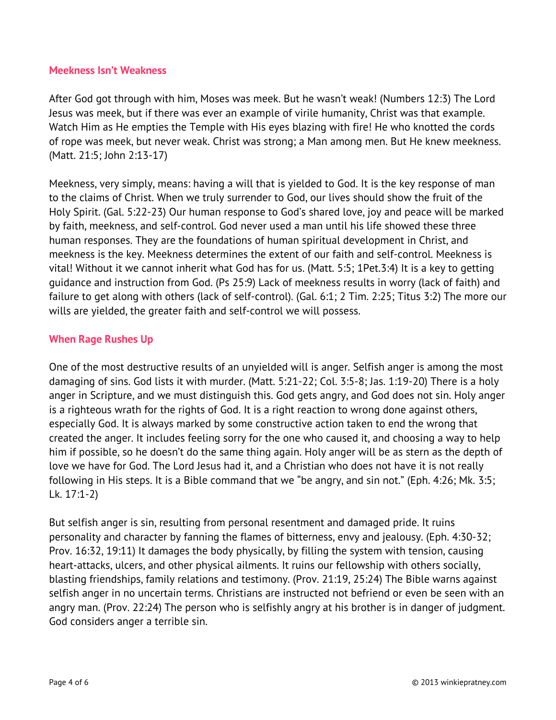#### **Meekness Isn't Weakness**

After God got through with him, Moses was meek. But he wasn't weak! (Numbers 12:3) The Lord Jesus was meek, but if there was ever an example of virile humanity, Christ was that example. Watch Him as He empties the Temple with His eyes blazing with fire! He who knotted the cords of rope was meek, but never weak. Christ was strong; a Man among men. But He knew meekness. (Matt. 21:5; John 2:13-17)

Meekness, very simply, means: having a will that is yielded to God. It is the key response of man to the claims of Christ. When we truly surrender to God, our lives should show the fruit of the Holy Spirit. (Gal. 5:22-23) Our human response to God's shared love, joy and peace will be marked by faith, meekness, and self-control. God never used a man until his life showed these three human responses. They are the foundations of human spiritual development in Christ, and meekness is the key. Meekness determines the extent of our faith and self-control. Meekness is vital! Without it we cannot inherit what God has for us. (Matt. 5:5; 1Pet.3:4) It is a key to getting guidance and instruction from God. (Ps 25:9) Lack of meekness results in worry (lack of faith) and failure to get along with others (lack of self-control). (Gal. 6:1; 2 Tim. 2:25; Titus 3:2) The more our wills are yielded, the greater faith and self-control we will possess.

## **When Rage Rushes Up**

One of the most destructive results of an unyielded will is anger. Selfish anger is among the most damaging of sins. God lists it with murder. (Matt. 5:21-22; Col. 3:5-8; Jas. 1:19-20) There is a holy anger in Scripture, and we must distinguish this. God gets angry, and God does not sin. Holy anger is a righteous wrath for the rights of God. It is a right reaction to wrong done against others, especially God. It is always marked by some constructive action taken to end the wrong that created the anger. It includes feeling sorry for the one who caused it, and choosing a way to help him if possible, so he doesn't do the same thing again. Holy anger will be as stern as the depth of love we have for God. The Lord Jesus had it, and a Christian who does not have it is not really following in His steps. It is a Bible command that we "be angry, and sin not." (Eph. 4:26; Mk. 3:5; Lk. 17:1-2)

But selfish anger is sin, resulting from personal resentment and damaged pride. It ruins personality and character by fanning the flames of bitterness, envy and jealousy. (Eph. 4:30-32; Prov. 16:32, 19:11) It damages the body physically, by filling the system with tension, causing heart-attacks, ulcers, and other physical ailments. It ruins our fellowship with others socially, blasting friendships, family relations and testimony. (Prov. 21:19, 25:24) The Bible warns against selfish anger in no uncertain terms. Christians are instructed not befriend or even be seen with an angry man. (Prov. 22:24) The person who is selfishly angry at his brother is in danger of judgment. God considers anger a terrible sin.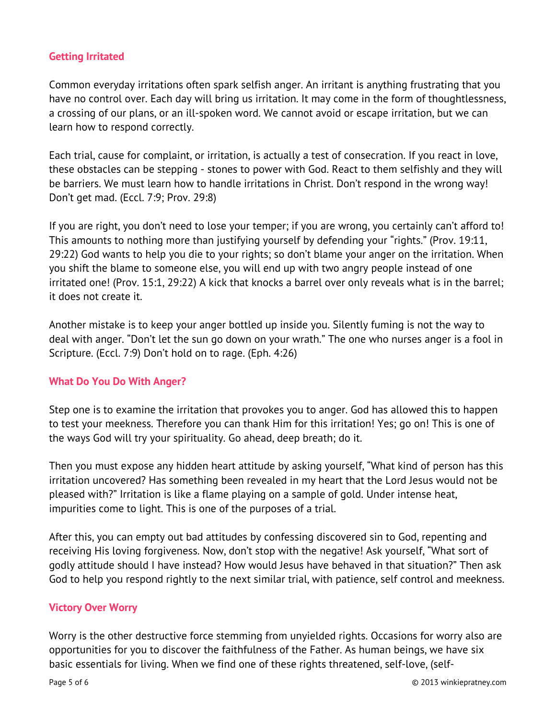## **Getting Irritated**

Common everyday irritations often spark selfish anger. An irritant is anything frustrating that you have no control over. Each day will bring us irritation. It may come in the form of thoughtlessness, a crossing of our plans, or an ill-spoken word. We cannot avoid or escape irritation, but we can learn how to respond correctly.

Each trial, cause for complaint, or irritation, is actually a test of consecration. If you react in love, these obstacles can be stepping - stones to power with God. React to them selfishly and they will be barriers. We must learn how to handle irritations in Christ. Don't respond in the wrong way! Don't get mad. (Eccl. 7:9; Prov. 29:8)

If you are right, you don't need to lose your temper; if you are wrong, you certainly can't afford to! This amounts to nothing more than justifying yourself by defending your "rights." (Prov. 19:11, 29:22) God wants to help you die to your rights; so don't blame your anger on the irritation. When you shift the blame to someone else, you will end up with two angry people instead of one irritated one! (Prov. 15:1, 29:22) A kick that knocks a barrel over only reveals what is in the barrel; it does not create it.

Another mistake is to keep your anger bottled up inside you. Silently fuming is not the way to deal with anger. "Don't let the sun go down on your wrath." The one who nurses anger is a fool in Scripture. (Eccl. 7:9) Don't hold on to rage. (Eph. 4:26)

#### **What Do You Do With Anger?**

Step one is to examine the irritation that provokes you to anger. God has allowed this to happen to test your meekness. Therefore you can thank Him for this irritation! Yes; go on! This is one of the ways God will try your spirituality. Go ahead, deep breath; do it.

Then you must expose any hidden heart attitude by asking yourself, "What kind of person has this irritation uncovered? Has something been revealed in my heart that the Lord Jesus would not be pleased with?" Irritation is like a flame playing on a sample of gold. Under intense heat, impurities come to light. This is one of the purposes of a trial.

After this, you can empty out bad attitudes by confessing discovered sin to God, repenting and receiving His loving forgiveness. Now, don't stop with the negative! Ask yourself, "What sort of godly attitude should I have instead? How would Jesus have behaved in that situation?" Then ask God to help you respond rightly to the next similar trial, with patience, self control and meekness.

#### **Victory Over Worry**

Worry is the other destructive force stemming from unyielded rights. Occasions for worry also are opportunities for you to discover the faithfulness of the Father. As human beings, we have six basic essentials for living. When we find one of these rights threatened, self-love, (self